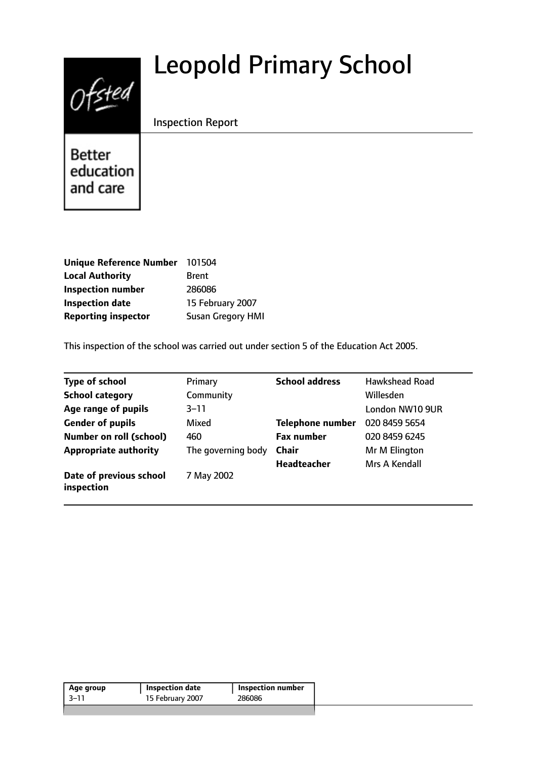# $0$ fsted

# Leopold Primary School

# Inspection Report

**Better** education and care

| <b>Unique Reference Number</b> | 101504                   |
|--------------------------------|--------------------------|
| <b>Local Authority</b>         | <b>Brent</b>             |
| <b>Inspection number</b>       | 286086                   |
| <b>Inspection date</b>         | 15 February 2007         |
| <b>Reporting inspector</b>     | <b>Susan Gregory HMI</b> |

This inspection of the school was carried out under section 5 of the Education Act 2005.

| <b>Type of school</b>                 | Primary            | <b>School address</b> | <b>Hawkshead Road</b> |
|---------------------------------------|--------------------|-----------------------|-----------------------|
| <b>School category</b>                | Community          |                       | Willesden             |
| Age range of pupils                   | $3 - 11$           |                       | London NW10 9UR       |
| <b>Gender of pupils</b>               | Mixed              | Telephone number      | 020 8459 5654         |
| <b>Number on roll (school)</b>        | 460                | <b>Fax number</b>     | 020 8459 6245         |
| <b>Appropriate authority</b>          | The governing body | <b>Chair</b>          | Mr M Elington         |
|                                       |                    | <b>Headteacher</b>    | Mrs A Kendall         |
| Date of previous school<br>inspection | 7 May 2002         |                       |                       |

| 15 February 2007<br>286086<br>$-3-11$ | Age group | <b>Inspection date</b> | <b>Inspection number</b> |
|---------------------------------------|-----------|------------------------|--------------------------|
|                                       |           |                        |                          |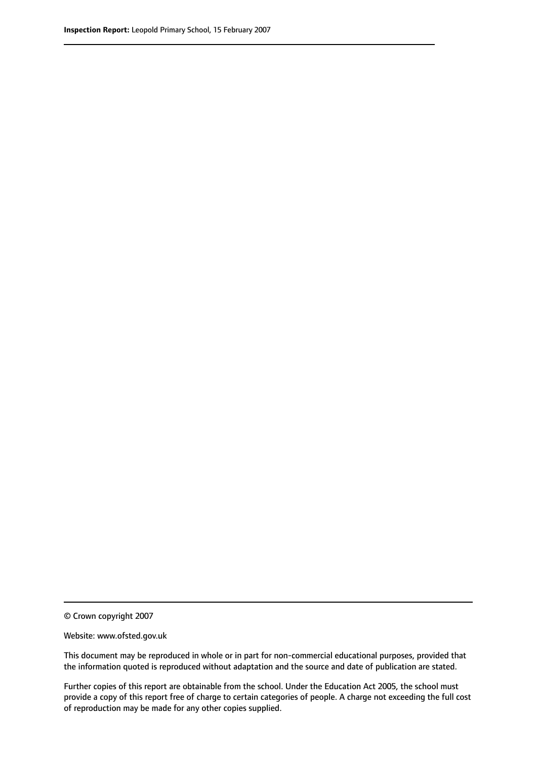© Crown copyright 2007

Website: www.ofsted.gov.uk

This document may be reproduced in whole or in part for non-commercial educational purposes, provided that the information quoted is reproduced without adaptation and the source and date of publication are stated.

Further copies of this report are obtainable from the school. Under the Education Act 2005, the school must provide a copy of this report free of charge to certain categories of people. A charge not exceeding the full cost of reproduction may be made for any other copies supplied.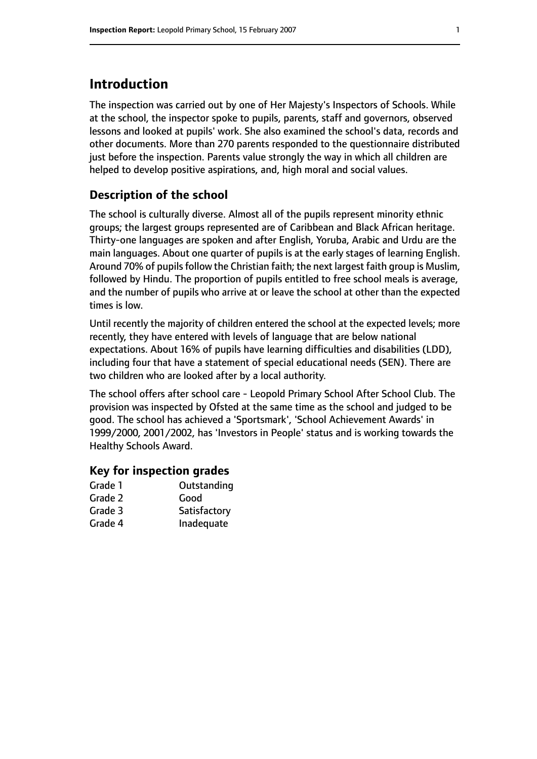# **Introduction**

The inspection was carried out by one of Her Majesty's Inspectors of Schools. While at the school, the inspector spoke to pupils, parents, staff and governors, observed lessons and looked at pupils' work. She also examined the school's data, records and other documents. More than 270 parents responded to the questionnaire distributed just before the inspection. Parents value strongly the way in which all children are helped to develop positive aspirations, and, high moral and social values.

#### **Description of the school**

The school is culturally diverse. Almost all of the pupils represent minority ethnic groups; the largest groups represented are of Caribbean and Black African heritage. Thirty-one languages are spoken and after English, Yoruba, Arabic and Urdu are the main languages. About one quarter of pupils is at the early stages of learning English. Around 70% of pupils follow the Christian faith; the next largest faith group is Muslim, followed by Hindu. The proportion of pupils entitled to free school meals is average, and the number of pupils who arrive at or leave the school at other than the expected times is low.

Until recently the majority of children entered the school at the expected levels; more recently, they have entered with levels of language that are below national expectations. About 16% of pupils have learning difficulties and disabilities (LDD), including four that have a statement of special educational needs (SEN). There are two children who are looked after by a local authority.

The school offers after school care - Leopold Primary School After School Club. The provision was inspected by Ofsted at the same time as the school and judged to be good. The school has achieved a 'Sportsmark', 'School Achievement Awards' in 1999/2000, 2001/2002, has 'Investors in People' status and is working towards the Healthy Schools Award.

#### **Key for inspection grades**

| Grade 1 | Outstanding  |
|---------|--------------|
| Grade 2 | Good         |
| Grade 3 | Satisfactory |
| Grade 4 | Inadequate   |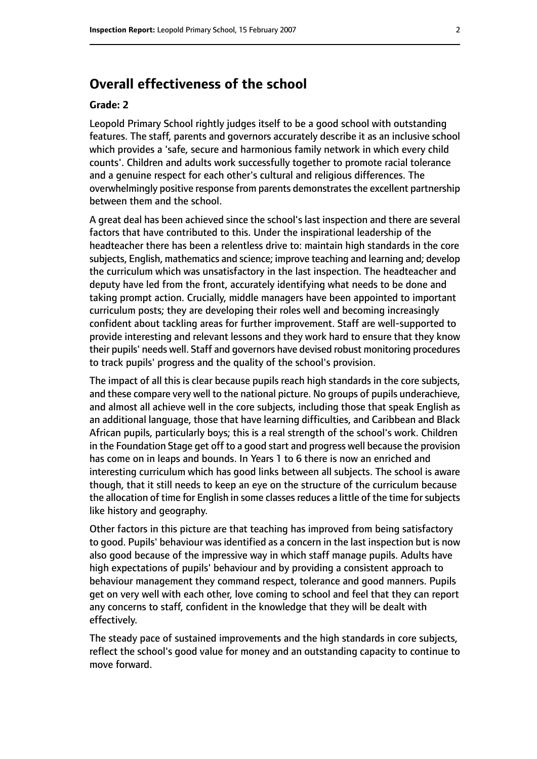# **Overall effectiveness of the school**

#### **Grade: 2**

Leopold Primary School rightly judges itself to be a good school with outstanding features. The staff, parents and governors accurately describe it as an inclusive school which provides a 'safe, secure and harmonious family network in which every child counts'. Children and adults work successfully together to promote racial tolerance and a genuine respect for each other's cultural and religious differences. The overwhelmingly positive response from parents demonstrates the excellent partnership between them and the school.

A great deal has been achieved since the school's last inspection and there are several factors that have contributed to this. Under the inspirational leadership of the headteacher there has been a relentless drive to: maintain high standards in the core subjects, English, mathematics and science; improve teaching and learning and; develop the curriculum which was unsatisfactory in the last inspection. The headteacher and deputy have led from the front, accurately identifying what needs to be done and taking prompt action. Crucially, middle managers have been appointed to important curriculum posts; they are developing their roles well and becoming increasingly confident about tackling areas for further improvement. Staff are well-supported to provide interesting and relevant lessons and they work hard to ensure that they know their pupils' needs well. Staff and governors have devised robust monitoring procedures to track pupils' progress and the quality of the school's provision.

The impact of all this is clear because pupils reach high standards in the core subjects, and these compare very well to the national picture. No groups of pupils underachieve, and almost all achieve well in the core subjects, including those that speak English as an additional language, those that have learning difficulties, and Caribbean and Black African pupils, particularly boys; this is a real strength of the school's work. Children in the Foundation Stage get off to a good start and progress well because the provision has come on in leaps and bounds. In Years 1 to 6 there is now an enriched and interesting curriculum which has good links between all subjects. The school is aware though, that it still needs to keep an eye on the structure of the curriculum because the allocation of time for English in some classes reduces a little of the time for subjects like history and geography.

Other factors in this picture are that teaching has improved from being satisfactory to good. Pupils' behaviour was identified as a concern in the last inspection but is now also good because of the impressive way in which staff manage pupils. Adults have high expectations of pupils' behaviour and by providing a consistent approach to behaviour management they command respect, tolerance and good manners. Pupils get on very well with each other, love coming to school and feel that they can report any concerns to staff, confident in the knowledge that they will be dealt with effectively.

The steady pace of sustained improvements and the high standards in core subjects, reflect the school's good value for money and an outstanding capacity to continue to move forward.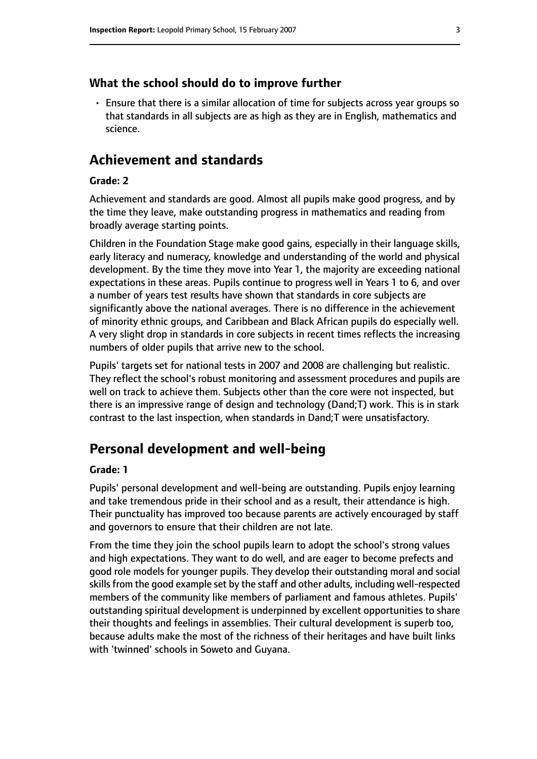#### **What the school should do to improve further**

• Ensure that there is a similar allocation of time for subjects across year groups so that standards in all subjects are as high as they are in English, mathematics and science.

# **Achievement and standards**

#### **Grade: 2**

Achievement and standards are good. Almost all pupils make good progress, and by the time they leave, make outstanding progress in mathematics and reading from broadly average starting points.

Children in the Foundation Stage make good gains, especially in their language skills, early literacy and numeracy, knowledge and understanding of the world and physical development. By the time they move into Year 1, the majority are exceeding national expectations in these areas. Pupils continue to progress well in Years 1 to 6, and over a number of years test results have shown that standards in core subjects are significantly above the national averages. There is no difference in the achievement of minority ethnic groups, and Caribbean and Black African pupils do especially well. A very slight drop in standards in core subjects in recent times reflects the increasing numbers of older pupils that arrive new to the school.

Pupils' targets set for national tests in 2007 and 2008 are challenging but realistic. They reflect the school's robust monitoring and assessment procedures and pupils are well on track to achieve them. Subjects other than the core were not inspected, but there is an impressive range of design and technology (Dand;T) work. This is in stark contrast to the last inspection, when standards in Dand;T were unsatisfactory.

# **Personal development and well-being**

#### **Grade: 1**

Pupils' personal development and well-being are outstanding. Pupils enjoy learning and take tremendous pride in their school and as a result, their attendance is high. Their punctuality has improved too because parents are actively encouraged by staff and governors to ensure that their children are not late.

From the time they join the school pupils learn to adopt the school's strong values and high expectations. They want to do well, and are eager to become prefects and good role models for younger pupils. They develop their outstanding moral and social skills from the good example set by the staff and other adults, including well-respected members of the community like members of parliament and famous athletes. Pupils' outstanding spiritual development is underpinned by excellent opportunities to share their thoughts and feelings in assemblies. Their cultural development is superb too, because adults make the most of the richness of their heritages and have built links with 'twinned' schools in Soweto and Guyana.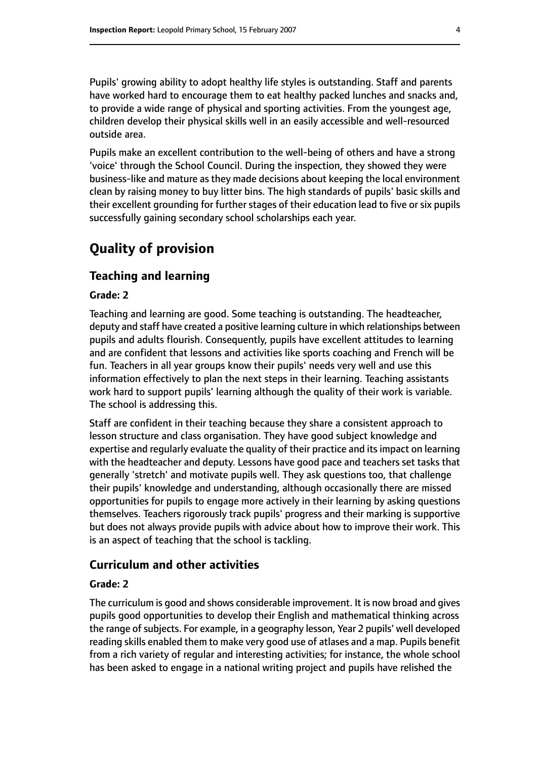Pupils' growing ability to adopt healthy life styles is outstanding. Staff and parents have worked hard to encourage them to eat healthy packed lunches and snacks and, to provide a wide range of physical and sporting activities. From the youngest age, children develop their physical skills well in an easily accessible and well-resourced outside area.

Pupils make an excellent contribution to the well-being of others and have a strong 'voice' through the School Council. During the inspection, they showed they were business-like and mature as they made decisions about keeping the local environment clean by raising money to buy litter bins. The high standards of pupils' basic skills and their excellent grounding for further stages of their education lead to five or six pupils successfully gaining secondary school scholarships each year.

# **Quality of provision**

#### **Teaching and learning**

#### **Grade: 2**

Teaching and learning are good. Some teaching is outstanding. The headteacher, deputy and staff have created a positive learning culture in which relationships between pupils and adults flourish. Consequently, pupils have excellent attitudes to learning and are confident that lessons and activities like sports coaching and French will be fun. Teachers in all year groups know their pupils' needs very well and use this information effectively to plan the next steps in their learning. Teaching assistants work hard to support pupils' learning although the quality of their work is variable. The school is addressing this.

Staff are confident in their teaching because they share a consistent approach to lesson structure and class organisation. They have good subject knowledge and expertise and regularly evaluate the quality of their practice and its impact on learning with the headteacher and deputy. Lessons have good pace and teachers set tasks that generally 'stretch' and motivate pupils well. They ask questions too, that challenge their pupils' knowledge and understanding, although occasionally there are missed opportunities for pupils to engage more actively in their learning by asking questions themselves. Teachers rigorously track pupils' progress and their marking is supportive but does not always provide pupils with advice about how to improve their work. This is an aspect of teaching that the school is tackling.

#### **Curriculum and other activities**

#### **Grade: 2**

The curriculum is good and shows considerable improvement. It is now broad and gives pupils good opportunities to develop their English and mathematical thinking across the range of subjects. For example, in a geography lesson, Year 2 pupils' well developed reading skills enabled them to make very good use of atlases and a map. Pupils benefit from a rich variety of regular and interesting activities; for instance, the whole school has been asked to engage in a national writing project and pupils have relished the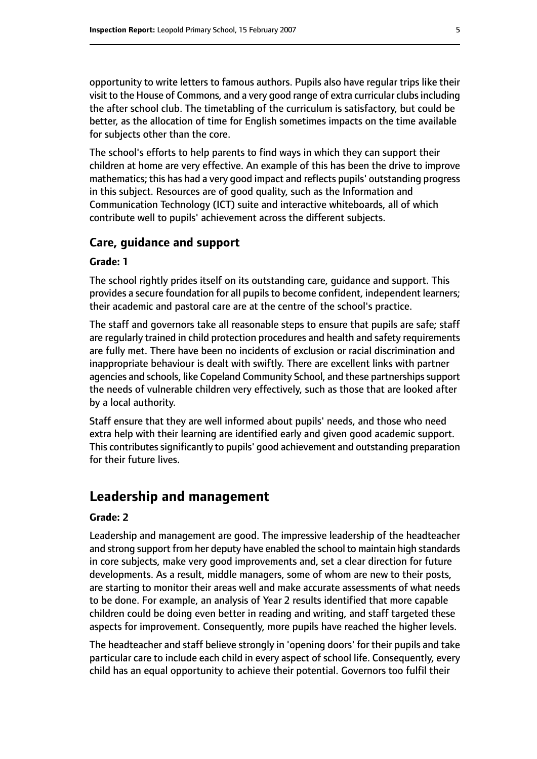opportunity to write letters to famous authors. Pupils also have regular trips like their visit to the House of Commons, and a very good range of extra curricular clubsincluding the after school club. The timetabling of the curriculum is satisfactory, but could be better, as the allocation of time for English sometimes impacts on the time available for subjects other than the core.

The school's efforts to help parents to find ways in which they can support their children at home are very effective. An example of this has been the drive to improve mathematics; this has had a very good impact and reflects pupils' outstanding progress in this subject. Resources are of good quality, such as the Information and Communication Technology (ICT) suite and interactive whiteboards, all of which contribute well to pupils' achievement across the different subjects.

#### **Care, guidance and support**

#### **Grade: 1**

The school rightly prides itself on its outstanding care, guidance and support. This provides a secure foundation for all pupils to become confident, independent learners; their academic and pastoral care are at the centre of the school's practice.

The staff and governors take all reasonable steps to ensure that pupils are safe; staff are regularly trained in child protection procedures and health and safety requirements are fully met. There have been no incidents of exclusion or racial discrimination and inappropriate behaviour is dealt with swiftly. There are excellent links with partner agencies and schools, like Copeland Community School, and these partnerships support the needs of vulnerable children very effectively, such as those that are looked after by a local authority.

Staff ensure that they are well informed about pupils' needs, and those who need extra help with their learning are identified early and given good academic support. This contributes significantly to pupils' good achievement and outstanding preparation for their future lives.

# **Leadership and management**

#### **Grade: 2**

Leadership and management are good. The impressive leadership of the headteacher and strong support from her deputy have enabled the school to maintain high standards in core subjects, make very good improvements and, set a clear direction for future developments. As a result, middle managers, some of whom are new to their posts, are starting to monitor their areas well and make accurate assessments of what needs to be done. For example, an analysis of Year 2 results identified that more capable children could be doing even better in reading and writing, and staff targeted these aspects for improvement. Consequently, more pupils have reached the higher levels.

The headteacher and staff believe strongly in 'opening doors' for their pupils and take particular care to include each child in every aspect of school life. Consequently, every child has an equal opportunity to achieve their potential. Governors too fulfil their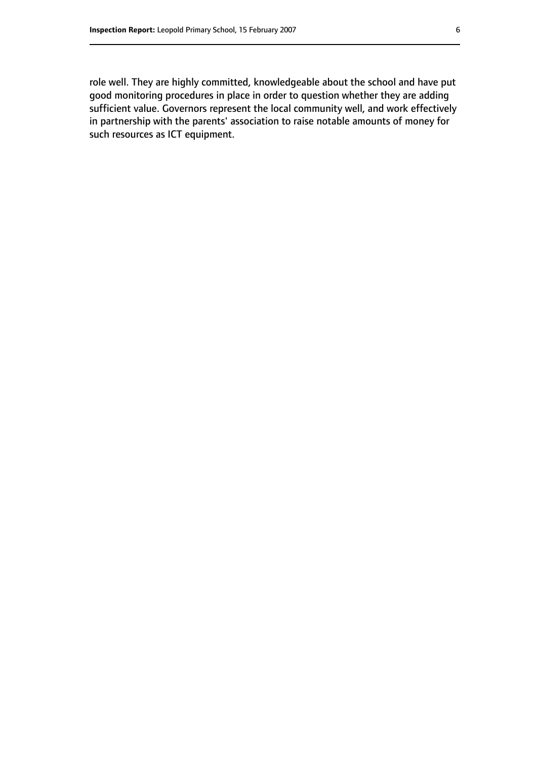role well. They are highly committed, knowledgeable about the school and have put good monitoring procedures in place in order to question whether they are adding sufficient value. Governors represent the local community well, and work effectively in partnership with the parents' association to raise notable amounts of money for such resources as ICT equipment.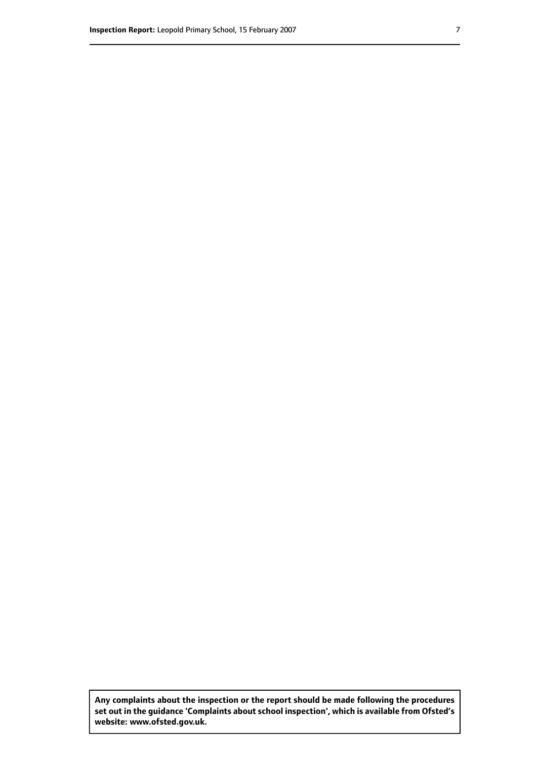**Any complaints about the inspection or the report should be made following the procedures set out inthe guidance 'Complaints about school inspection', whichis available from Ofsted's website: www.ofsted.gov.uk.**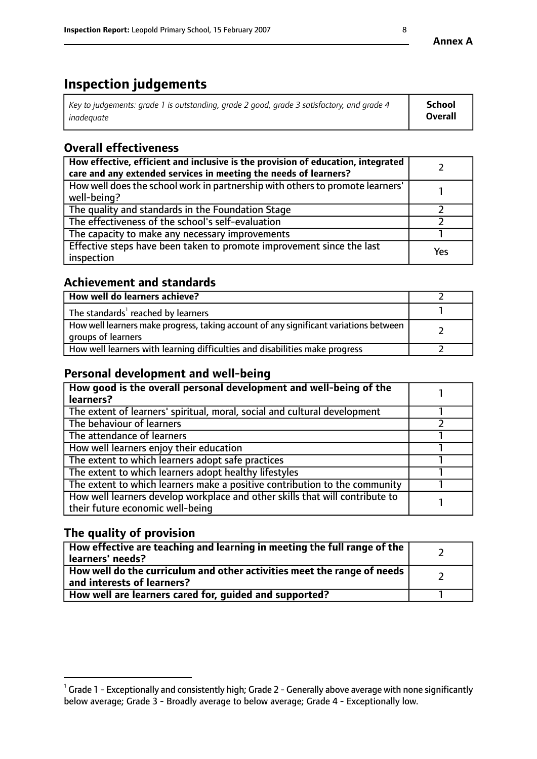# **Inspection judgements**

| $^{\circ}$ Key to judgements: grade 1 is outstanding, grade 2 good, grade 3 satisfactory, and grade 4 $^{\circ}$ | School         |
|------------------------------------------------------------------------------------------------------------------|----------------|
| inadequate                                                                                                       | <b>Overall</b> |

# **Overall effectiveness**

| How effective, efficient and inclusive is the provision of education, integrated<br>care and any extended services in meeting the needs of learners? |     |
|------------------------------------------------------------------------------------------------------------------------------------------------------|-----|
| How well does the school work in partnership with others to promote learners'<br>well-being?                                                         |     |
| The quality and standards in the Foundation Stage                                                                                                    |     |
| The effectiveness of the school's self-evaluation                                                                                                    |     |
| The capacity to make any necessary improvements                                                                                                      |     |
| Effective steps have been taken to promote improvement since the last<br>inspection                                                                  | Yes |

# **Achievement and standards**

| How well do learners achieve?                                                                               |  |
|-------------------------------------------------------------------------------------------------------------|--|
| The standards <sup>1</sup> reached by learners                                                              |  |
| How well learners make progress, taking account of any significant variations between<br>groups of learners |  |
| How well learners with learning difficulties and disabilities make progress                                 |  |

# **Personal development and well-being**

| How good is the overall personal development and well-being of the<br>learners?                                  |  |
|------------------------------------------------------------------------------------------------------------------|--|
| The extent of learners' spiritual, moral, social and cultural development                                        |  |
| The behaviour of learners                                                                                        |  |
| The attendance of learners                                                                                       |  |
| How well learners enjoy their education                                                                          |  |
| The extent to which learners adopt safe practices                                                                |  |
| The extent to which learners adopt healthy lifestyles                                                            |  |
| The extent to which learners make a positive contribution to the community                                       |  |
| How well learners develop workplace and other skills that will contribute to<br>their future economic well-being |  |

# **The quality of provision**

| How effective are teaching and learning in meeting the full range of the<br>  learners' needs?                      |  |
|---------------------------------------------------------------------------------------------------------------------|--|
| $\mid$ How well do the curriculum and other activities meet the range of needs<br>$\mid$ and interests of learners? |  |
| How well are learners cared for, guided and supported?                                                              |  |

 $^1$  Grade 1 - Exceptionally and consistently high; Grade 2 - Generally above average with none significantly below average; Grade 3 - Broadly average to below average; Grade 4 - Exceptionally low.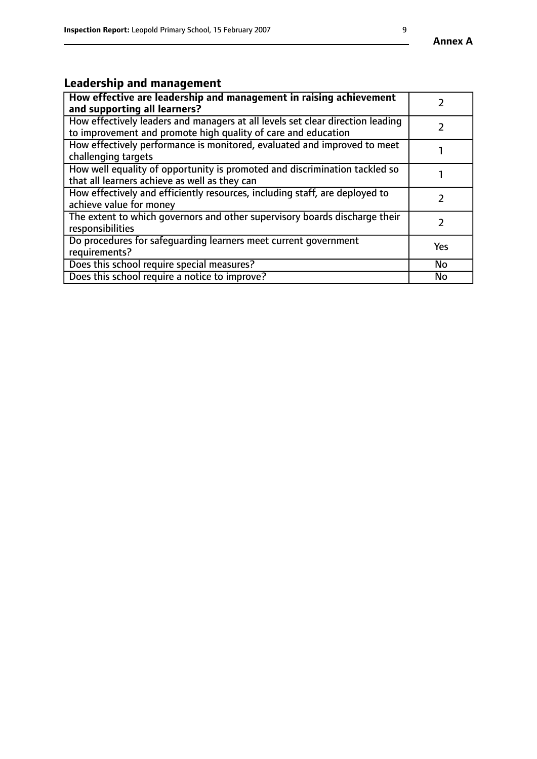# **Leadership and management**

| How effective are leadership and management in raising achievement<br>and supporting all learners?                                              |           |
|-------------------------------------------------------------------------------------------------------------------------------------------------|-----------|
| How effectively leaders and managers at all levels set clear direction leading<br>to improvement and promote high quality of care and education |           |
| How effectively performance is monitored, evaluated and improved to meet<br>challenging targets                                                 |           |
| How well equality of opportunity is promoted and discrimination tackled so<br>that all learners achieve as well as they can                     |           |
| How effectively and efficiently resources, including staff, are deployed to<br>achieve value for money                                          |           |
| The extent to which governors and other supervisory boards discharge their<br>responsibilities                                                  |           |
| Do procedures for safequarding learners meet current government<br>requirements?                                                                | Yes       |
| Does this school require special measures?                                                                                                      | <b>No</b> |
| Does this school require a notice to improve?                                                                                                   | <b>No</b> |